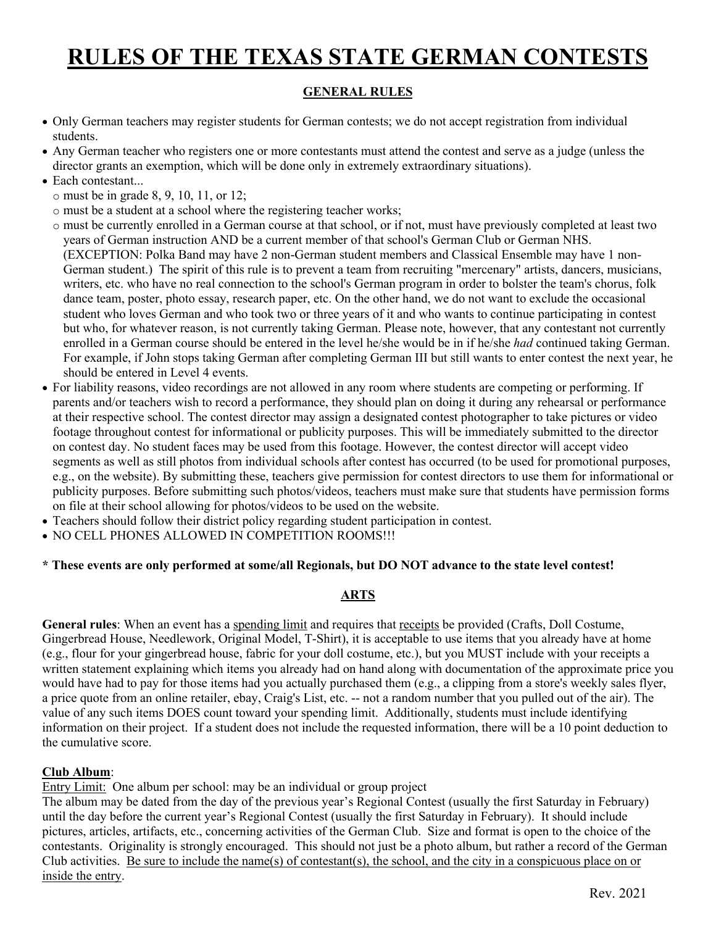# **RULES OF THE TEXAS STATE GERMAN CONTESTS**

# **GENERAL RULES**

- Only German teachers may register students for German contests; we do not accept registration from individual students.
- Any German teacher who registers one or more contestants must attend the contest and serve as a judge (unless the director grants an exemption, which will be done only in extremely extraordinary situations).
- Each contestant...
	- o must be in grade 8, 9, 10, 11, or 12;
	- o must be a student at a school where the registering teacher works;
	- o must be currently enrolled in a German course at that school, or if not, must have previously completed at least two years of German instruction AND be a current member of that school's German Club or German NHS. (EXCEPTION: Polka Band may have 2 non-German student members and Classical Ensemble may have 1 non-German student.) The spirit of this rule is to prevent a team from recruiting "mercenary" artists, dancers, musicians, writers, etc. who have no real connection to the school's German program in order to bolster the team's chorus, folk dance team, poster, photo essay, research paper, etc. On the other hand, we do not want to exclude the occasional student who loves German and who took two or three years of it and who wants to continue participating in contest but who, for whatever reason, is not currently taking German. Please note, however, that any contestant not currently enrolled in a German course should be entered in the level he/she would be in if he/she *had* continued taking German. For example, if John stops taking German after completing German III but still wants to enter contest the next year, he should be entered in Level 4 events.
- For liability reasons, video recordings are not allowed in any room where students are competing or performing. If parents and/or teachers wish to record a performance, they should plan on doing it during any rehearsal or performance at their respective school. The contest director may assign a designated contest photographer to take pictures or video footage throughout contest for informational or publicity purposes. This will be immediately submitted to the director on contest day. No student faces may be used from this footage. However, the contest director will accept video segments as well as still photos from individual schools after contest has occurred (to be used for promotional purposes, e.g., on the website). By submitting these, teachers give permission for contest directors to use them for informational or publicity purposes. Before submitting such photos/videos, teachers must make sure that students have permission forms on file at their school allowing for photos/videos to be used on the website.
- Teachers should follow their district policy regarding student participation in contest.
- NO CELL PHONES ALLOWED IN COMPETITION ROOMS!!!

## **\* These events are only performed at some/all Regionals, but DO NOT advance to the state level contest!**

# **ARTS**

**General rules**: When an event has a spending limit and requires that receipts be provided (Crafts, Doll Costume, Gingerbread House, Needlework, Original Model, T-Shirt), it is acceptable to use items that you already have at home (e.g., flour for your gingerbread house, fabric for your doll costume, etc.), but you MUST include with your receipts a written statement explaining which items you already had on hand along with documentation of the approximate price you would have had to pay for those items had you actually purchased them (e.g., a clipping from a store's weekly sales flyer, a price quote from an online retailer, ebay, Craig's List, etc. -- not a random number that you pulled out of the air). The value of any such items DOES count toward your spending limit. Additionally, students must include identifying information on their project. If a student does not include the requested information, there will be a 10 point deduction to the cumulative score.

## **Club Album**:

Entry Limit: One album per school: may be an individual or group project

The album may be dated from the day of the previous year's Regional Contest (usually the first Saturday in February) until the day before the current year's Regional Contest (usually the first Saturday in February). It should include pictures, articles, artifacts, etc., concerning activities of the German Club. Size and format is open to the choice of the contestants. Originality is strongly encouraged. This should not just be a photo album, but rather a record of the German Club activities. Be sure to include the name(s) of contestant(s), the school, and the city in a conspicuous place on or inside the entry.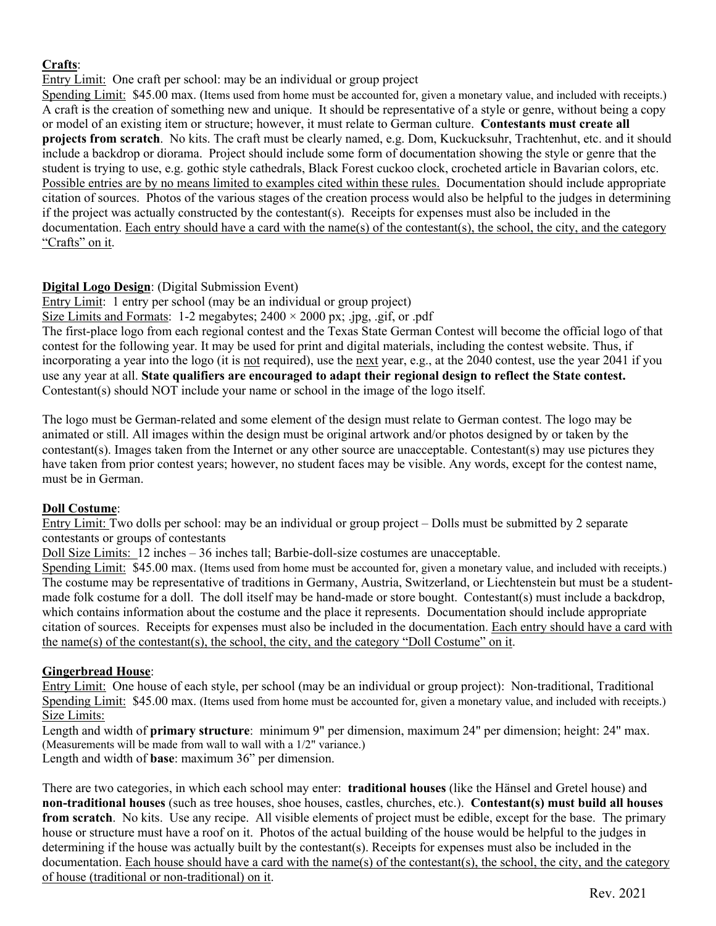# **Crafts**:

Entry Limit: One craft per school: may be an individual or group project

Spending Limit: \$45.00 max. (Items used from home must be accounted for, given a monetary value, and included with receipts.) A craft is the creation of something new and unique. It should be representative of a style or genre, without being a copy or model of an existing item or structure; however, it must relate to German culture. **Contestants must create all projects from scratch**. No kits. The craft must be clearly named, e.g. Dom, Kuckucksuhr, Trachtenhut, etc. and it should include a backdrop or diorama. Project should include some form of documentation showing the style or genre that the student is trying to use, e.g. gothic style cathedrals, Black Forest cuckoo clock, crocheted article in Bavarian colors, etc. Possible entries are by no means limited to examples cited within these rules. Documentation should include appropriate citation of sources. Photos of the various stages of the creation process would also be helpful to the judges in determining if the project was actually constructed by the contestant(s). Receipts for expenses must also be included in the documentation. Each entry should have a card with the name(s) of the contestant(s), the school, the city, and the category "Crafts" on it.

## **Digital Logo Design**: (Digital Submission Event)

Entry Limit: 1 entry per school (may be an individual or group project)

Size Limits and Formats: 1-2 megabytes;  $2400 \times 2000$  px; .jpg, .gif, or .pdf

The first-place logo from each regional contest and the Texas State German Contest will become the official logo of that contest for the following year. It may be used for print and digital materials, including the contest website. Thus, if incorporating a year into the logo (it is not required), use the next year, e.g., at the 2040 contest, use the year 2041 if you use any year at all. **State qualifiers are encouraged to adapt their regional design to reflect the State contest.** Contestant(s) should NOT include your name or school in the image of the logo itself.

The logo must be German-related and some element of the design must relate to German contest. The logo may be animated or still. All images within the design must be original artwork and/or photos designed by or taken by the contestant(s). Images taken from the Internet or any other source are unacceptable. Contestant(s) may use pictures they have taken from prior contest years; however, no student faces may be visible. Any words, except for the contest name, must be in German.

## **Doll Costume**:

Entry Limit: Two dolls per school: may be an individual or group project – Dolls must be submitted by 2 separate contestants or groups of contestants

Doll Size Limits: 12 inches – 36 inches tall; Barbie-doll-size costumes are unacceptable.

Spending Limit: \$45.00 max. (Items used from home must be accounted for, given a monetary value, and included with receipts.) The costume may be representative of traditions in Germany, Austria, Switzerland, or Liechtenstein but must be a studentmade folk costume for a doll. The doll itself may be hand-made or store bought. Contestant(s) must include a backdrop, which contains information about the costume and the place it represents. Documentation should include appropriate citation of sources. Receipts for expenses must also be included in the documentation. Each entry should have a card with the name(s) of the contestant(s), the school, the city, and the category "Doll Costume" on it.

## **Gingerbread House**:

Entry Limit: One house of each style, per school (may be an individual or group project): Non-traditional, Traditional Spending Limit: \$45.00 max. (Items used from home must be accounted for, given a monetary value, and included with receipts.) Size Limits:

Length and width of **primary structure**: minimum 9" per dimension, maximum 24" per dimension; height: 24" max. (Measurements will be made from wall to wall with a 1/2" variance.)

Length and width of **base**: maximum 36" per dimension.

There are two categories, in which each school may enter: **traditional houses** (like the Hänsel and Gretel house) and **non-traditional houses** (such as tree houses, shoe houses, castles, churches, etc.). **Contestant(s) must build all houses from scratch**. No kits. Use any recipe. All visible elements of project must be edible, except for the base. The primary house or structure must have a roof on it. Photos of the actual building of the house would be helpful to the judges in determining if the house was actually built by the contestant(s). Receipts for expenses must also be included in the documentation. Each house should have a card with the name(s) of the contestant(s), the school, the city, and the category of house (traditional or non-traditional) on it.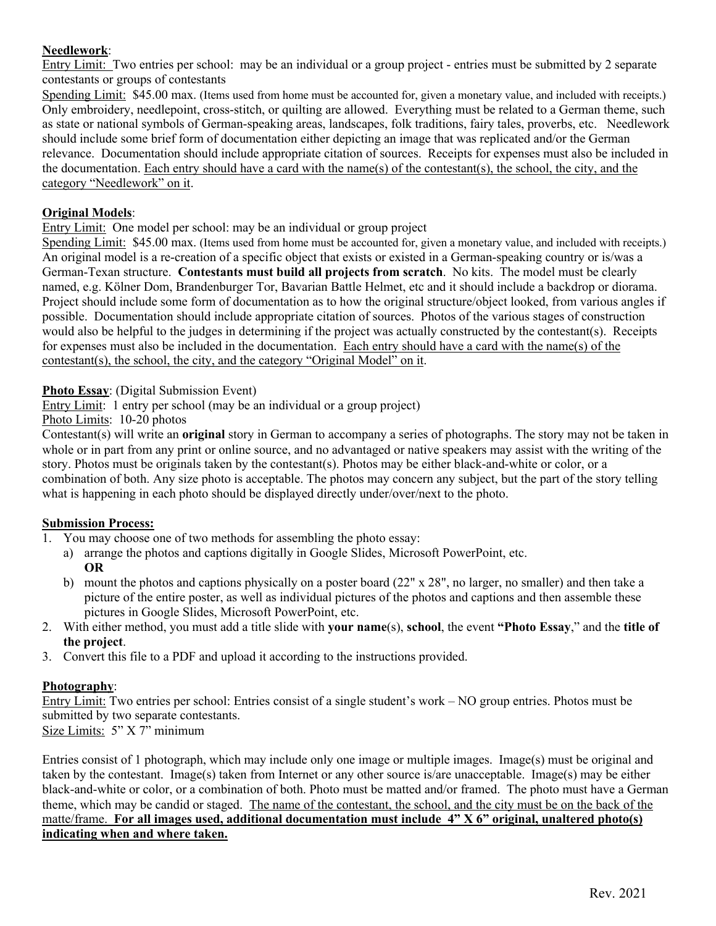## **Needlework**:

Entry Limit: Two entries per school: may be an individual or a group project - entries must be submitted by 2 separate contestants or groups of contestants

Spending Limit: \$45.00 max. (Items used from home must be accounted for, given a monetary value, and included with receipts.) Only embroidery, needlepoint, cross-stitch, or quilting are allowed. Everything must be related to a German theme, such as state or national symbols of German-speaking areas, landscapes, folk traditions, fairy tales, proverbs, etc. Needlework should include some brief form of documentation either depicting an image that was replicated and/or the German relevance. Documentation should include appropriate citation of sources. Receipts for expenses must also be included in the documentation. Each entry should have a card with the name(s) of the contestant(s), the school, the city, and the category "Needlework" on it.

# **Original Models**:

Entry Limit: One model per school: may be an individual or group project

Spending Limit: \$45.00 max. (Items used from home must be accounted for, given a monetary value, and included with receipts.) An original model is a re-creation of a specific object that exists or existed in a German-speaking country or is/was a German-Texan structure. **Contestants must build all projects from scratch**. No kits. The model must be clearly named, e.g. Kölner Dom, Brandenburger Tor, Bavarian Battle Helmet, etc and it should include a backdrop or diorama. Project should include some form of documentation as to how the original structure/object looked, from various angles if possible. Documentation should include appropriate citation of sources. Photos of the various stages of construction would also be helpful to the judges in determining if the project was actually constructed by the contestant(s). Receipts for expenses must also be included in the documentation. Each entry should have a card with the name(s) of the contestant(s), the school, the city, and the category "Original Model" on it.

**Photo Essay**: (Digital Submission Event)

Entry Limit: 1 entry per school (may be an individual or a group project)

Photo Limits: 10-20 photos

Contestant(s) will write an **original** story in German to accompany a series of photographs. The story may not be taken in whole or in part from any print or online source, and no advantaged or native speakers may assist with the writing of the story. Photos must be originals taken by the contestant(s). Photos may be either black-and-white or color, or a combination of both. Any size photo is acceptable. The photos may concern any subject, but the part of the story telling what is happening in each photo should be displayed directly under/over/next to the photo.

## **Submission Process:**

- 1. You may choose one of two methods for assembling the photo essay:
	- a) arrange the photos and captions digitally in Google Slides, Microsoft PowerPoint, etc. **OR**
	- b) mount the photos and captions physically on a poster board (22" x 28", no larger, no smaller) and then take a picture of the entire poster, as well as individual pictures of the photos and captions and then assemble these pictures in Google Slides, Microsoft PowerPoint, etc.
- 2. With either method, you must add a title slide with **your name**(s), **school**, the event **"Photo Essay**," and the **title of the project**.
- 3. Convert this file to a PDF and upload it according to the instructions provided.

## **Photography**:

Entry Limit: Two entries per school: Entries consist of a single student's work – NO group entries. Photos must be submitted by two separate contestants.

Size Limits: 5" X 7" minimum

Entries consist of 1 photograph, which may include only one image or multiple images. Image(s) must be original and taken by the contestant. Image(s) taken from Internet or any other source is/are unacceptable. Image(s) may be either black-and-white or color, or a combination of both. Photo must be matted and/or framed. The photo must have a German theme, which may be candid or staged. The name of the contestant, the school, and the city must be on the back of the matte/frame. **For all images used, additional documentation must include 4" X 6" original, unaltered photo(s) indicating when and where taken.**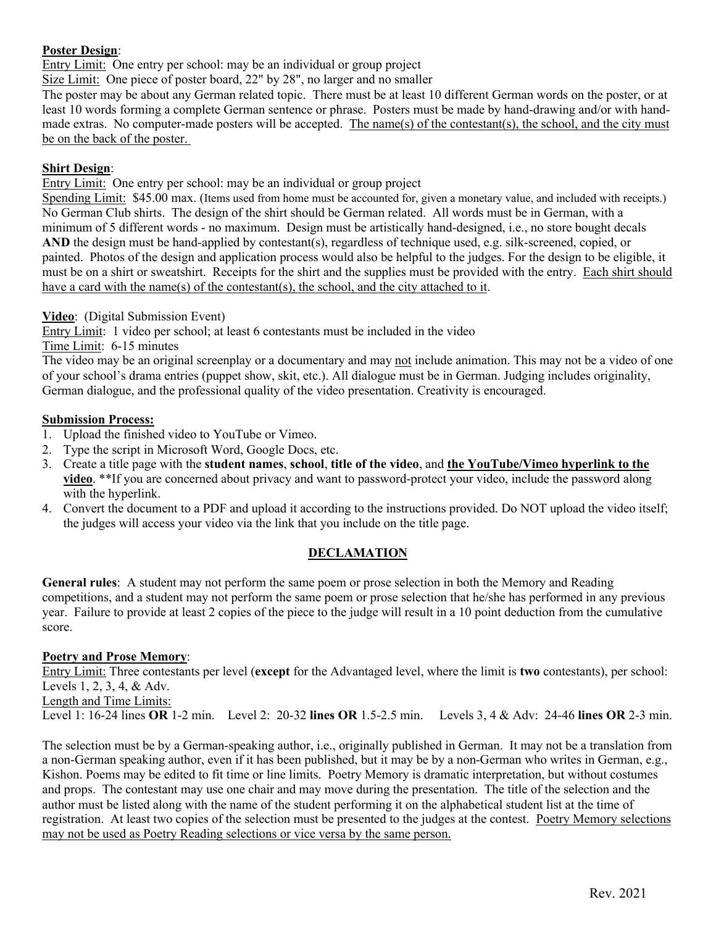#### **Poster Design**:

Entry Limit: One entry per school: may be an individual or group project

Size Limit: One piece of poster board, 22" by 28", no larger and no smaller

The poster may be about any German related topic. There must be at least 10 different German words on the poster, or at least 10 words forming a complete German sentence or phrase. Posters must be made by hand-drawing and/or with handmade extras. No computer-made posters will be accepted. The name(s) of the contestant(s), the school, and the city must be on the back of the poster.

#### **Shirt Design**:

Entry Limit: One entry per school: may be an individual or group project

Spending Limit: \$45.00 max. (Items used from home must be accounted for, given a monetary value, and included with receipts.) No German Club shirts. The design of the shirt should be German related. All words must be in German, with a minimum of 5 different words - no maximum. Design must be artistically hand-designed, i.e., no store bought decals **AND** the design must be hand-applied by contestant(s), regardless of technique used, e.g. silk-screened, copied, or painted. Photos of the design and application process would also be helpful to the judges. For the design to be eligible, it must be on a shirt or sweatshirt. Receipts for the shirt and the supplies must be provided with the entry. Each shirt should have a card with the name(s) of the contestant(s), the school, and the city attached to it.

#### **Video**: (Digital Submission Event)

Entry Limit: 1 video per school; at least 6 contestants must be included in the video

Time Limit: 6-15 minutes

The video may be an original screenplay or a documentary and may not include animation. This may not be a video of one of your school's drama entries (puppet show, skit, etc.). All dialogue must be in German. Judging includes originality, German dialogue, and the professional quality of the video presentation. Creativity is encouraged.

#### **Submission Process:**

- 1. Upload the finished video to YouTube or Vimeo.
- 2. Type the script in Microsoft Word, Google Docs, etc.
- 3. Create a title page with the **student names**, **school**, **title of the video**, and **the YouTube/Vimeo hyperlink to the video**. \*\*If you are concerned about privacy and want to password-protect your video, include the password along with the hyperlink.
- 4. Convert the document to a PDF and upload it according to the instructions provided. Do NOT upload the video itself; the judges will access your video via the link that you include on the title page.

## **DECLAMATION**

**General rules**: A student may not perform the same poem or prose selection in both the Memory and Reading competitions, and a student may not perform the same poem or prose selection that he/she has performed in any previous year. Failure to provide at least 2 copies of the piece to the judge will result in a 10 point deduction from the cumulative score.

#### **Poetry and Prose Memory**:

Entry Limit: Three contestants per level (**except** for the Advantaged level, where the limit is **two** contestants), per school: Levels 1, 2, 3, 4, & Adv.

Length and Time Limits:

Level 1: 16-24 lines **OR** 1-2 min. Level 2: 20-32 **lines OR** 1.5-2.5 min. Levels 3, 4 & Adv: 24-46 **lines OR** 2-3 min.

The selection must be by a German-speaking author, i.e., originally published in German. It may not be a translation from a non-German speaking author, even if it has been published, but it may be by a non-German who writes in German, e.g., Kishon. Poems may be edited to fit time or line limits. Poetry Memory is dramatic interpretation, but without costumes and props. The contestant may use one chair and may move during the presentation. The title of the selection and the author must be listed along with the name of the student performing it on the alphabetical student list at the time of registration. At least two copies of the selection must be presented to the judges at the contest. Poetry Memory selections may not be used as Poetry Reading selections or vice versa by the same person.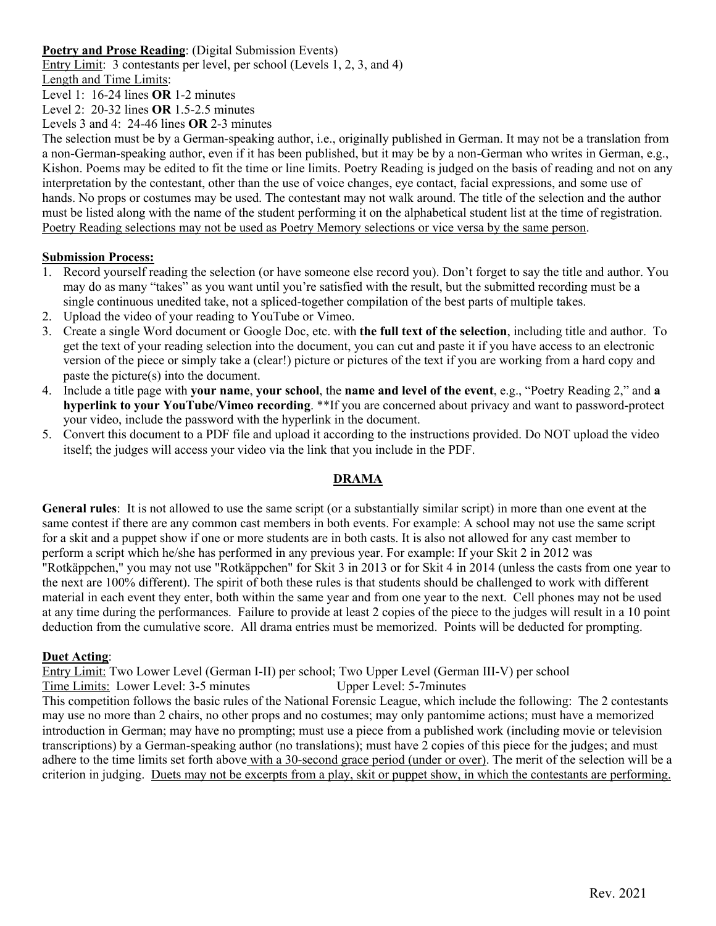#### **Poetry and Prose Reading**: (Digital Submission Events)

Entry Limit: 3 contestants per level, per school (Levels 1, 2, 3, and 4)

Length and Time Limits:

Level 1: 16-24 lines **OR** 1-2 minutes

Level 2: 20-32 lines **OR** 1.5-2.5 minutes

Levels 3 and 4: 24-46 lines **OR** 2-3 minutes

The selection must be by a German-speaking author, i.e., originally published in German. It may not be a translation from a non-German-speaking author, even if it has been published, but it may be by a non-German who writes in German, e.g., Kishon. Poems may be edited to fit the time or line limits. Poetry Reading is judged on the basis of reading and not on any interpretation by the contestant, other than the use of voice changes, eye contact, facial expressions, and some use of hands. No props or costumes may be used. The contestant may not walk around. The title of the selection and the author must be listed along with the name of the student performing it on the alphabetical student list at the time of registration. Poetry Reading selections may not be used as Poetry Memory selections or vice versa by the same person.

#### **Submission Process:**

- 1. Record yourself reading the selection (or have someone else record you). Don't forget to say the title and author. You may do as many "takes" as you want until you're satisfied with the result, but the submitted recording must be a single continuous unedited take, not a spliced-together compilation of the best parts of multiple takes.
- 2. Upload the video of your reading to YouTube or Vimeo.
- 3. Create a single Word document or Google Doc, etc. with **the full text of the selection**, including title and author. To get the text of your reading selection into the document, you can cut and paste it if you have access to an electronic version of the piece or simply take a (clear!) picture or pictures of the text if you are working from a hard copy and paste the picture(s) into the document.
- 4. Include a title page with **your name**, **your school**, the **name and level of the event**, e.g., "Poetry Reading 2," and **a hyperlink to your YouTube/Vimeo recording**. \*\*If you are concerned about privacy and want to password-protect your video, include the password with the hyperlink in the document.
- 5. Convert this document to a PDF file and upload it according to the instructions provided. Do NOT upload the video itself; the judges will access your video via the link that you include in the PDF.

## **DRAMA**

**General rules**: It is not allowed to use the same script (or a substantially similar script) in more than one event at the same contest if there are any common cast members in both events. For example: A school may not use the same script for a skit and a puppet show if one or more students are in both casts. It is also not allowed for any cast member to perform a script which he/she has performed in any previous year. For example: If your Skit 2 in 2012 was "Rotkäppchen," you may not use "Rotkäppchen" for Skit 3 in 2013 or for Skit 4 in 2014 (unless the casts from one year to the next are 100% different). The spirit of both these rules is that students should be challenged to work with different material in each event they enter, both within the same year and from one year to the next. Cell phones may not be used at any time during the performances. Failure to provide at least 2 copies of the piece to the judges will result in a 10 point deduction from the cumulative score. All drama entries must be memorized. Points will be deducted for prompting.

#### **Duet Acting**:

Entry Limit: Two Lower Level (German I-II) per school; Two Upper Level (German III-V) per school

Time Limits: Lower Level: 3-5 minutes Upper Level: 5-7 minutes

This competition follows the basic rules of the National Forensic League, which include the following: The 2 contestants may use no more than 2 chairs, no other props and no costumes; may only pantomime actions; must have a memorized introduction in German; may have no prompting; must use a piece from a published work (including movie or television transcriptions) by a German-speaking author (no translations); must have 2 copies of this piece for the judges; and must adhere to the time limits set forth above with a 30-second grace period (under or over). The merit of the selection will be a criterion in judging. Duets may not be excerpts from a play, skit or puppet show, in which the contestants are performing.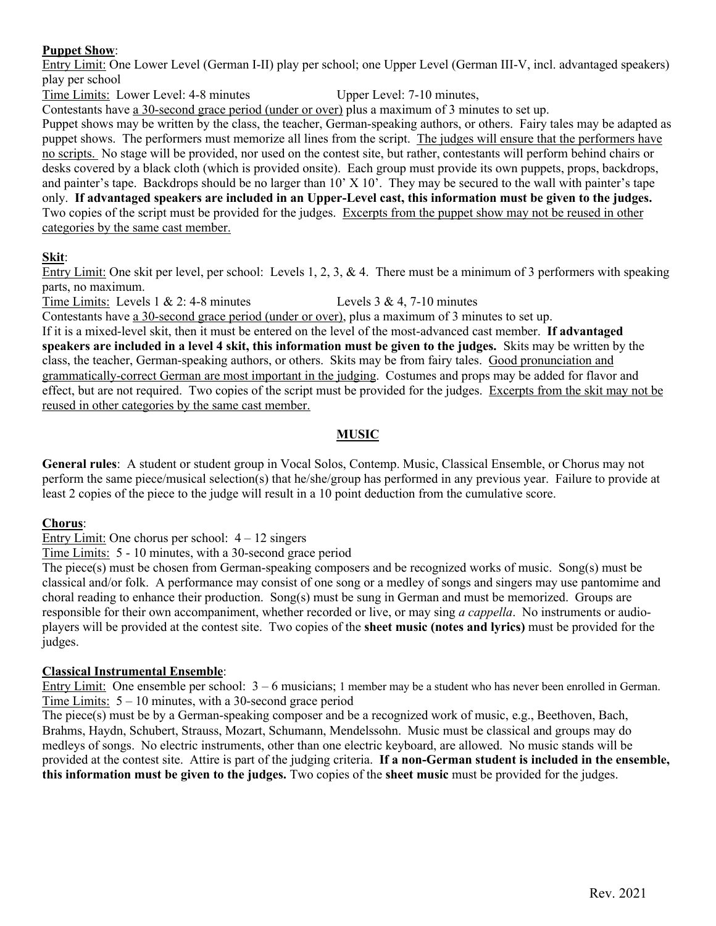## **Puppet Show**:

Entry Limit: One Lower Level (German I-II) play per school; one Upper Level (German III-V, incl. advantaged speakers) play per school

Time Limits: Lower Level: 4-8 minutes Upper Level: 7-10 minutes,

Contestants have a 30-second grace period (under or over) plus a maximum of 3 minutes to set up.

Puppet shows may be written by the class, the teacher, German-speaking authors, or others. Fairy tales may be adapted as puppet shows. The performers must memorize all lines from the script. The judges will ensure that the performers have no scripts. No stage will be provided, nor used on the contest site, but rather, contestants will perform behind chairs or desks covered by a black cloth (which is provided onsite). Each group must provide its own puppets, props, backdrops, and painter's tape. Backdrops should be no larger than  $10'$  X  $10'$ . They may be secured to the wall with painter's tape only. **If advantaged speakers are included in an Upper-Level cast, this information must be given to the judges.** Two copies of the script must be provided for the judges. Excerpts from the puppet show may not be reused in other categories by the same cast member.

# **Skit**:

Entry Limit: One skit per level, per school: Levels 1, 2, 3, & 4. There must be a minimum of 3 performers with speaking parts, no maximum.

Time Limits: Levels 1 & 2: 4-8 minutes Levels 3 & 4, 7-10 minutes

Contestants have a 30-second grace period (under or over), plus a maximum of 3 minutes to set up.

If it is a mixed-level skit, then it must be entered on the level of the most-advanced cast member. **If advantaged speakers are included in a level 4 skit, this information must be given to the judges.** Skits may be written by the class, the teacher, German-speaking authors, or others. Skits may be from fairy tales. Good pronunciation and grammatically-correct German are most important in the judging. Costumes and props may be added for flavor and effect, but are not required. Two copies of the script must be provided for the judges. Excerpts from the skit may not be reused in other categories by the same cast member.

# **MUSIC**

**General rules**: A student or student group in Vocal Solos, Contemp. Music, Classical Ensemble, or Chorus may not perform the same piece/musical selection(s) that he/she/group has performed in any previous year. Failure to provide at least 2 copies of the piece to the judge will result in a 10 point deduction from the cumulative score.

## **Chorus**:

Entry Limit: One chorus per school:  $4 - 12$  singers

Time Limits: 5 - 10 minutes, with a 30-second grace period

The piece(s) must be chosen from German-speaking composers and be recognized works of music. Song(s) must be classical and/or folk. A performance may consist of one song or a medley of songs and singers may use pantomime and choral reading to enhance their production. Song(s) must be sung in German and must be memorized. Groups are responsible for their own accompaniment, whether recorded or live, or may sing *a cappella*. No instruments or audioplayers will be provided at the contest site. Two copies of the **sheet music (notes and lyrics)** must be provided for the judges.

## **Classical Instrumental Ensemble**:

Entry Limit: One ensemble per school: 3 – 6 musicians; 1 member may be a student who has never been enrolled in German. Time Limits: 5 – 10 minutes, with a 30-second grace period

The piece(s) must be by a German-speaking composer and be a recognized work of music, e.g., Beethoven, Bach, Brahms, Haydn, Schubert, Strauss, Mozart, Schumann, Mendelssohn. Music must be classical and groups may do medleys of songs. No electric instruments, other than one electric keyboard, are allowed. No music stands will be provided at the contest site. Attire is part of the judging criteria. **If a non-German student is included in the ensemble, this information must be given to the judges.** Two copies of the **sheet music** must be provided for the judges.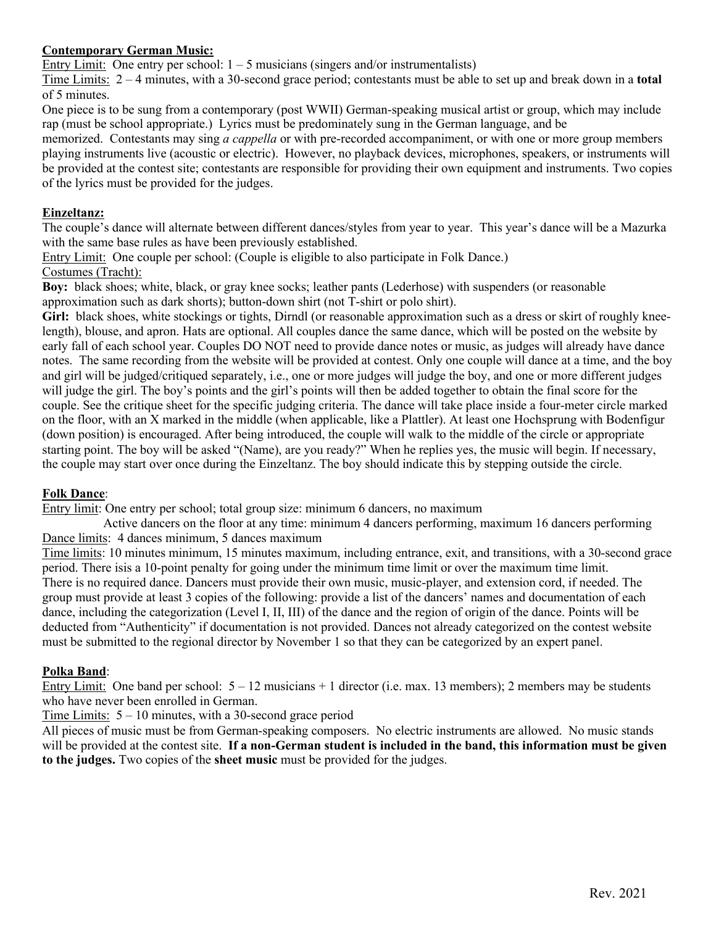## **Contemporary German Music:**

Entry Limit: One entry per school:  $1 - 5$  musicians (singers and/or instrumentalists)

Time Limits: 2 – 4 minutes, with a 30-second grace period; contestants must be able to set up and break down in a **total** of 5 minutes.

One piece is to be sung from a contemporary (post WWII) German-speaking musical artist or group, which may include rap (must be school appropriate.) Lyrics must be predominately sung in the German language, and be

memorized. Contestants may sing *a cappella* or with pre-recorded accompaniment, or with one or more group members playing instruments live (acoustic or electric). However, no playback devices, microphones, speakers, or instruments will be provided at the contest site; contestants are responsible for providing their own equipment and instruments. Two copies of the lyrics must be provided for the judges.

## **Einzeltanz:**

The couple's dance will alternate between different dances/styles from year to year. This year's dance will be a Mazurka with the same base rules as have been previously established.

Entry Limit: One couple per school: (Couple is eligible to also participate in Folk Dance.) Costumes (Tracht):

**Boy:** black shoes; white, black, or gray knee socks; leather pants (Lederhose) with suspenders (or reasonable approximation such as dark shorts); button-down shirt (not T-shirt or polo shirt).

**Girl:** black shoes, white stockings or tights, Dirndl (or reasonable approximation such as a dress or skirt of roughly kneelength), blouse, and apron. Hats are optional. All couples dance the same dance, which will be posted on the website by early fall of each school year. Couples DO NOT need to provide dance notes or music, as judges will already have dance notes. The same recording from the website will be provided at contest. Only one couple will dance at a time, and the boy and girl will be judged/critiqued separately, i.e., one or more judges will judge the boy, and one or more different judges will judge the girl. The boy's points and the girl's points will then be added together to obtain the final score for the couple. See the critique sheet for the specific judging criteria. The dance will take place inside a four-meter circle marked on the floor, with an X marked in the middle (when applicable, like a Plattler). At least one Hochsprung with Bodenfigur (down position) is encouraged. After being introduced, the couple will walk to the middle of the circle or appropriate starting point. The boy will be asked "(Name), are you ready?" When he replies yes, the music will begin. If necessary, the couple may start over once during the Einzeltanz. The boy should indicate this by stepping outside the circle.

#### **Folk Dance**:

Entry limit: One entry per school; total group size: minimum 6 dancers, no maximum

Active dancers on the floor at any time: minimum 4 dancers performing, maximum 16 dancers performing Dance limits: 4 dances minimum, 5 dances maximum

Time limits: 10 minutes minimum, 15 minutes maximum, including entrance, exit, and transitions, with a 30-second grace period. There isis a 10-point penalty for going under the minimum time limit or over the maximum time limit. There is no required dance. Dancers must provide their own music, music-player, and extension cord, if needed. The group must provide at least 3 copies of the following: provide a list of the dancers' names and documentation of each dance, including the categorization (Level I, II, III) of the dance and the region of origin of the dance. Points will be deducted from "Authenticity" if documentation is not provided. Dances not already categorized on the contest website must be submitted to the regional director by November 1 so that they can be categorized by an expert panel.

## **Polka Band**:

Entry Limit: One band per school:  $5 - 12$  musicians  $+ 1$  director (i.e. max. 13 members); 2 members may be students who have never been enrolled in German.

#### Time Limits:  $5 - 10$  minutes, with a 30-second grace period

All pieces of music must be from German-speaking composers. No electric instruments are allowed. No music stands will be provided at the contest site. **If a non-German student is included in the band, this information must be given to the judges.** Two copies of the **sheet music** must be provided for the judges.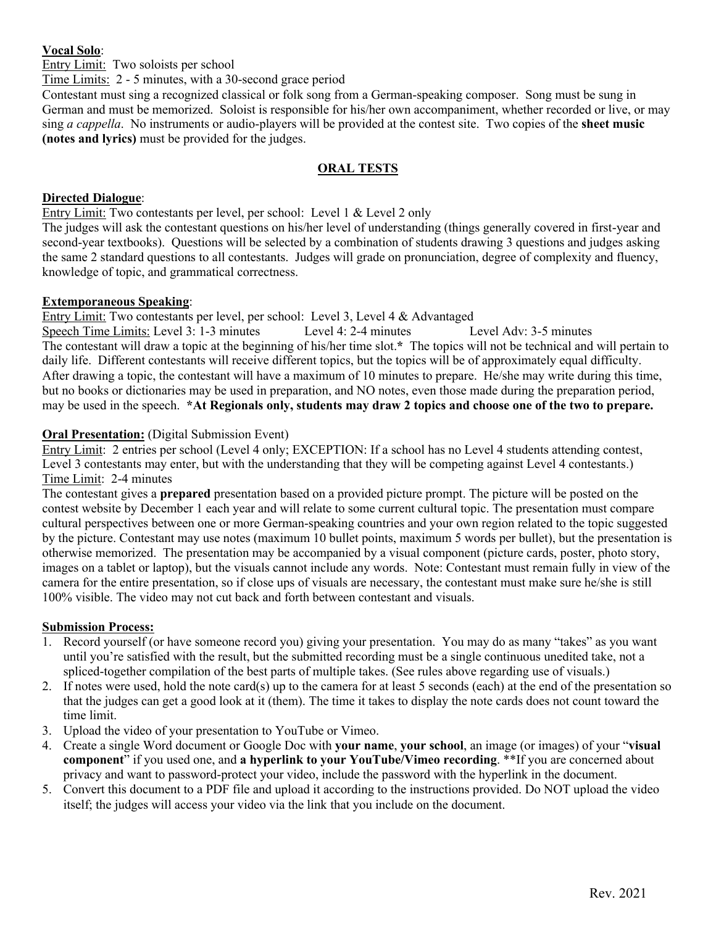#### **Vocal Solo**:

Entry Limit: Two soloists per school

Time Limits: 2 - 5 minutes, with a 30-second grace period

Contestant must sing a recognized classical or folk song from a German-speaking composer. Song must be sung in German and must be memorized. Soloist is responsible for his/her own accompaniment, whether recorded or live, or may sing *a cappella*. No instruments or audio-players will be provided at the contest site. Two copies of the **sheet music (notes and lyrics)** must be provided for the judges.

#### **ORAL TESTS**

#### **Directed Dialogue**:

Entry Limit: Two contestants per level, per school: Level 1 & Level 2 only

The judges will ask the contestant questions on his/her level of understanding (things generally covered in first-year and second-year textbooks). Questions will be selected by a combination of students drawing 3 questions and judges asking the same 2 standard questions to all contestants. Judges will grade on pronunciation, degree of complexity and fluency, knowledge of topic, and grammatical correctness.

#### **Extemporaneous Speaking**:

Entry Limit: Two contestants per level, per school: Level 3, Level 4 & Advantaged Speech Time Limits: Level 3: 1-3 minutes Level 4: 2-4 minutes Level Adv: 3-5 minutes The contestant will draw a topic at the beginning of his/her time slot.**\*** The topics will not be technical and will pertain to daily life. Different contestants will receive different topics, but the topics will be of approximately equal difficulty. After drawing a topic, the contestant will have a maximum of 10 minutes to prepare. He/she may write during this time, but no books or dictionaries may be used in preparation, and NO notes, even those made during the preparation period, may be used in the speech. **\*At Regionals only, students may draw 2 topics and choose one of the two to prepare.**

#### **Oral Presentation:** (Digital Submission Event)

Entry Limit: 2 entries per school (Level 4 only; EXCEPTION: If a school has no Level 4 students attending contest, Level 3 contestants may enter, but with the understanding that they will be competing against Level 4 contestants.) Time Limit: 2-4 minutes

The contestant gives a **prepared** presentation based on a provided picture prompt. The picture will be posted on the contest website by December 1 each year and will relate to some current cultural topic. The presentation must compare cultural perspectives between one or more German-speaking countries and your own region related to the topic suggested by the picture. Contestant may use notes (maximum 10 bullet points, maximum 5 words per bullet), but the presentation is otherwise memorized. The presentation may be accompanied by a visual component (picture cards, poster, photo story, images on a tablet or laptop), but the visuals cannot include any words. Note: Contestant must remain fully in view of the camera for the entire presentation, so if close ups of visuals are necessary, the contestant must make sure he/she is still 100% visible. The video may not cut back and forth between contestant and visuals.

## **Submission Process:**

- 1. Record yourself (or have someone record you) giving your presentation. You may do as many "takes" as you want until you're satisfied with the result, but the submitted recording must be a single continuous unedited take, not a spliced-together compilation of the best parts of multiple takes. (See rules above regarding use of visuals.)
- 2. If notes were used, hold the note card(s) up to the camera for at least 5 seconds (each) at the end of the presentation so that the judges can get a good look at it (them). The time it takes to display the note cards does not count toward the time limit.
- 3. Upload the video of your presentation to YouTube or Vimeo.
- 4. Create a single Word document or Google Doc with **your name**, **your school**, an image (or images) of your "**visual component**" if you used one, and **a hyperlink to your YouTube/Vimeo recording**. \*\*If you are concerned about privacy and want to password-protect your video, include the password with the hyperlink in the document.
- 5. Convert this document to a PDF file and upload it according to the instructions provided. Do NOT upload the video itself; the judges will access your video via the link that you include on the document.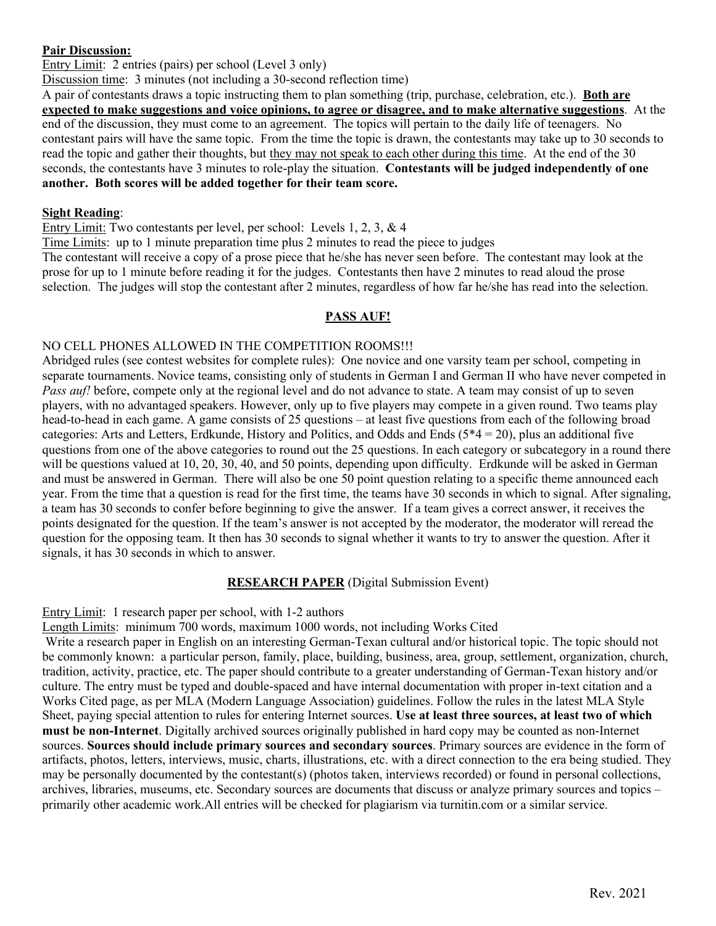#### **Pair Discussion:**

Entry Limit: 2 entries (pairs) per school (Level 3 only)

Discussion time: 3 minutes (not including a 30-second reflection time)

A pair of contestants draws a topic instructing them to plan something (trip, purchase, celebration, etc.). **Both are expected to make suggestions and voice opinions, to agree or disagree, and to make alternative suggestions**. At the end of the discussion, they must come to an agreement. The topics will pertain to the daily life of teenagers. No contestant pairs will have the same topic. From the time the topic is drawn, the contestants may take up to 30 seconds to read the topic and gather their thoughts, but they may not speak to each other during this time. At the end of the 30 seconds, the contestants have 3 minutes to role-play the situation. **Contestants will be judged independently of one another. Both scores will be added together for their team score.**

# **Sight Reading**:

Entry Limit: Two contestants per level, per school: Levels 1, 2, 3, & 4

Time Limits: up to 1 minute preparation time plus 2 minutes to read the piece to judges

The contestant will receive a copy of a prose piece that he/she has never seen before. The contestant may look at the prose for up to 1 minute before reading it for the judges. Contestants then have 2 minutes to read aloud the prose selection. The judges will stop the contestant after 2 minutes, regardless of how far he/she has read into the selection.

## **PASS AUF!**

## NO CELL PHONES ALLOWED IN THE COMPETITION ROOMS!!!

Abridged rules (see contest websites for complete rules): One novice and one varsity team per school, competing in separate tournaments. Novice teams, consisting only of students in German I and German II who have never competed in *Pass auf!* before, compete only at the regional level and do not advance to state. A team may consist of up to seven players, with no advantaged speakers. However, only up to five players may compete in a given round. Two teams play head-to-head in each game. A game consists of 25 questions – at least five questions from each of the following broad categories: Arts and Letters, Erdkunde, History and Politics, and Odds and Ends  $(5*4 = 20)$ , plus an additional five questions from one of the above categories to round out the 25 questions. In each category or subcategory in a round there will be questions valued at 10, 20, 30, 40, and 50 points, depending upon difficulty. Erdkunde will be asked in German and must be answered in German. There will also be one 50 point question relating to a specific theme announced each year. From the time that a question is read for the first time, the teams have 30 seconds in which to signal. After signaling, a team has 30 seconds to confer before beginning to give the answer. If a team gives a correct answer, it receives the points designated for the question. If the team's answer is not accepted by the moderator, the moderator will reread the question for the opposing team. It then has 30 seconds to signal whether it wants to try to answer the question. After it signals, it has 30 seconds in which to answer.

## **RESEARCH PAPER** (Digital Submission Event)

## Entry Limit: 1 research paper per school, with 1-2 authors

Length Limits: minimum 700 words, maximum 1000 words, not including Works Cited

Write a research paper in English on an interesting German-Texan cultural and/or historical topic. The topic should not be commonly known: a particular person, family, place, building, business, area, group, settlement, organization, church, tradition, activity, practice, etc. The paper should contribute to a greater understanding of German-Texan history and/or culture. The entry must be typed and double-spaced and have internal documentation with proper in-text citation and a Works Cited page, as per MLA (Modern Language Association) guidelines. Follow the rules in the latest MLA Style Sheet, paying special attention to rules for entering Internet sources. **Use at least three sources, at least two of which must be non-Internet**. Digitally archived sources originally published in hard copy may be counted as non-Internet sources. **Sources should include primary sources and secondary sources**. Primary sources are evidence in the form of artifacts, photos, letters, interviews, music, charts, illustrations, etc. with a direct connection to the era being studied. They may be personally documented by the contestant(s) (photos taken, interviews recorded) or found in personal collections, archives, libraries, museums, etc. Secondary sources are documents that discuss or analyze primary sources and topics – primarily other academic work.All entries will be checked for plagiarism via turnitin.com or a similar service.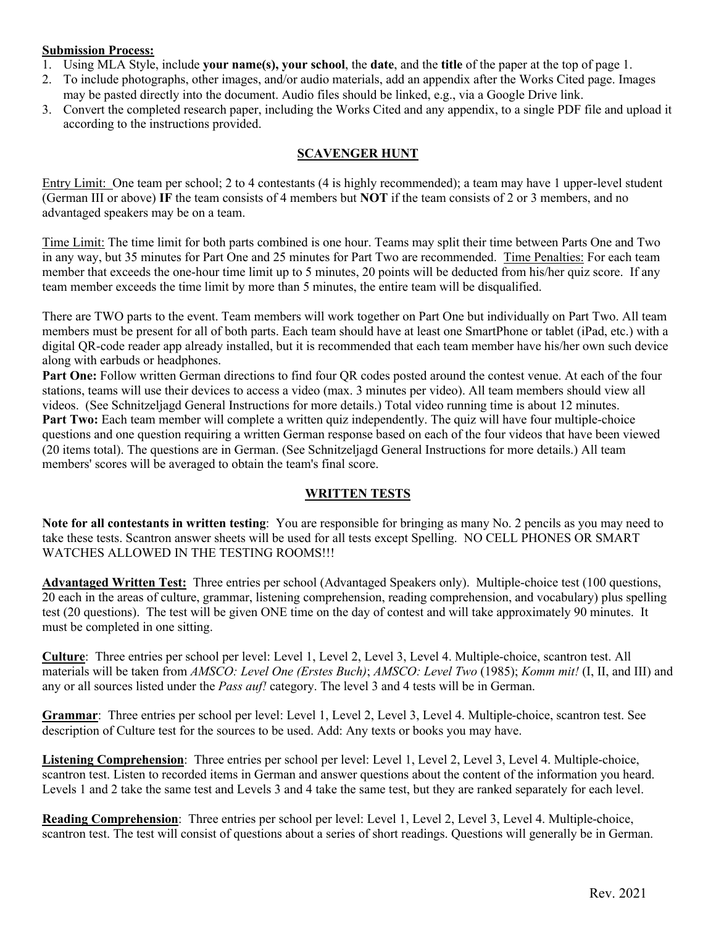#### **Submission Process:**

- 1. Using MLA Style, include **your name(s), your school**, the **date**, and the **title** of the paper at the top of page 1.
- 2. To include photographs, other images, and/or audio materials, add an appendix after the Works Cited page. Images may be pasted directly into the document. Audio files should be linked, e.g., via a Google Drive link.
- 3. Convert the completed research paper, including the Works Cited and any appendix, to a single PDF file and upload it according to the instructions provided.

#### **SCAVENGER HUNT**

Entry Limit: One team per school; 2 to 4 contestants (4 is highly recommended); a team may have 1 upper-level student (German III or above) **IF** the team consists of 4 members but **NOT** if the team consists of 2 or 3 members, and no advantaged speakers may be on a team.

Time Limit: The time limit for both parts combined is one hour. Teams may split their time between Parts One and Two in any way, but 35 minutes for Part One and 25 minutes for Part Two are recommended. Time Penalties: For each team member that exceeds the one-hour time limit up to 5 minutes, 20 points will be deducted from his/her quiz score. If any team member exceeds the time limit by more than 5 minutes, the entire team will be disqualified.

There are TWO parts to the event. Team members will work together on Part One but individually on Part Two. All team members must be present for all of both parts. Each team should have at least one SmartPhone or tablet (iPad, etc.) with a digital QR-code reader app already installed, but it is recommended that each team member have his/her own such device along with earbuds or headphones.

**Part One:** Follow written German directions to find four QR codes posted around the contest venue. At each of the four stations, teams will use their devices to access a video (max. 3 minutes per video). All team members should view all videos. (See Schnitzeljagd General Instructions for more details.) Total video running time is about 12 minutes. **Part Two:** Each team member will complete a written quiz independently. The quiz will have four multiple-choice questions and one question requiring a written German response based on each of the four videos that have been viewed (20 items total). The questions are in German. (See Schnitzeljagd General Instructions for more details.) All team members' scores will be averaged to obtain the team's final score.

#### **WRITTEN TESTS**

**Note for all contestants in written testing**: You are responsible for bringing as many No. 2 pencils as you may need to take these tests. Scantron answer sheets will be used for all tests except Spelling. NO CELL PHONES OR SMART WATCHES ALLOWED IN THE TESTING ROOMS!!!

**Advantaged Written Test:** Three entries per school (Advantaged Speakers only). Multiple-choice test (100 questions, 20 each in the areas of culture, grammar, listening comprehension, reading comprehension, and vocabulary) plus spelling test (20 questions). The test will be given ONE time on the day of contest and will take approximately 90 minutes. It must be completed in one sitting.

**Culture**: Three entries per school per level: Level 1, Level 2, Level 3, Level 4. Multiple-choice, scantron test. All materials will be taken from *AMSCO: Level One (Erstes Buch)*; *AMSCO: Level Two* (1985); *Komm mit!* (I, II, and III) and any or all sources listed under the *Pass auf!* category. The level 3 and 4 tests will be in German.

**Grammar**: Three entries per school per level: Level 1, Level 2, Level 3, Level 4. Multiple-choice, scantron test. See description of Culture test for the sources to be used. Add: Any texts or books you may have.

**Listening Comprehension**: Three entries per school per level: Level 1, Level 2, Level 3, Level 4. Multiple-choice, scantron test. Listen to recorded items in German and answer questions about the content of the information you heard. Levels 1 and 2 take the same test and Levels 3 and 4 take the same test, but they are ranked separately for each level.

**Reading Comprehension**: Three entries per school per level: Level 1, Level 2, Level 3, Level 4. Multiple-choice, scantron test. The test will consist of questions about a series of short readings. Questions will generally be in German.